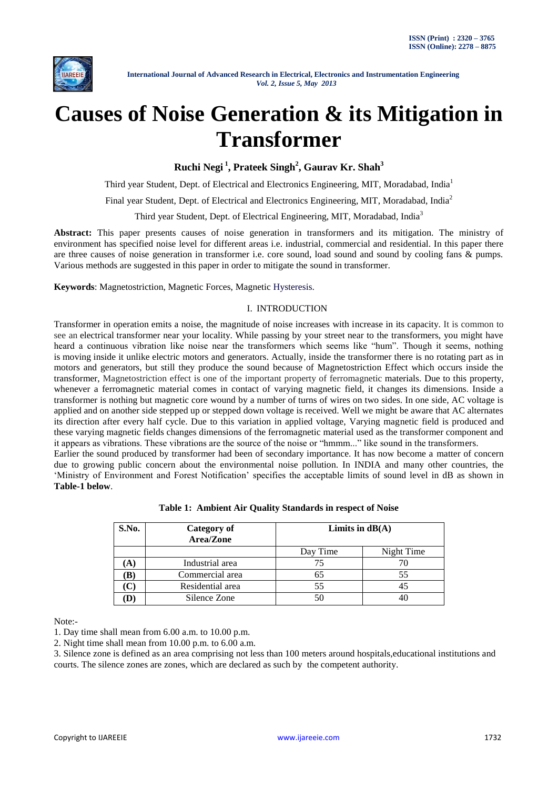

# **Causes of Noise Generation & its Mitigation in Transformer**

**Ruchi Negi <sup>1</sup> , Prateek Singh<sup>2</sup> , Gaurav Kr. Shah<sup>3</sup>**

Third year Student, Dept. of Electrical and Electronics Engineering, MIT, Moradabad, India<sup>1</sup>

Final year Student, Dept. of Electrical and Electronics Engineering, MIT, Moradabad, India<sup>2</sup>

Third year Student, Dept. of Electrical Engineering, MIT, Moradabad, India<sup>3</sup>

**Abstract:** This paper presents causes of noise generation in transformers and its mitigation. The ministry of environment has specified noise level for different areas i.e. industrial, commercial and residential. In this paper there are three causes of noise generation in transformer i.e. core sound, load sound and sound by cooling fans & pumps. Various methods are suggested in this paper in order to mitigate the sound in transformer.

**Keywords**: Magnetostriction, Magnetic Forces, Magnetic Hysteresis.

### I. INTRODUCTION

Transformer in operation emits a noise, the magnitude of noise increases with increase in its capacity. It is common to see an electrical transformer near your locality. While passing by your street near to the transformers, you might have heard a continuous vibration like noise near the transformers which seems like "hum". Though it seems, nothing is moving inside it unlike electric motors and generators. Actually, inside the transformer there is no rotating part as in motors and generators, but still they produce the sound because of Magnetostriction Effect which occurs inside the transformer, Magnetostriction effect is one of the important property of ferromagnetic materials. Due to this property, whenever a ferromagnetic material comes in contact of varying magnetic field, it changes its dimensions. Inside a transformer is nothing but magnetic core wound by a number of turns of wires on two sides. In one side, AC voltage is applied and on another side stepped up or stepped down voltage is received. Well we might be aware that AC alternates its direction after every half cycle. Due to this variation in applied voltage, Varying magnetic field is produced and these varying magnetic fields changes dimensions of the ferromagnetic material used as the transformer component and it appears as vibrations. These vibrations are the source of the noise or "hmmm..." like sound in the transformers.

Earlier the sound produced by transformer had been of secondary importance. It has now become a matter of concern due to growing public concern about the environmental noise pollution. In INDIA and many other countries, the "Ministry of Environment and Forest Notification" specifies the acceptable limits of sound level in dB as shown in **Table-1 below**.

| S.No. | <b>Category of</b><br>Area/Zone | Limits in $dB(A)$ |            |
|-------|---------------------------------|-------------------|------------|
|       |                                 | Day Time          | Night Time |
| A)    | Industrial area                 | 75                |            |
| B)    | Commercial area                 | 65                | 55         |
|       | Residential area                | 55                |            |
|       | Silence Zone                    | 50                |            |

**Table 1: Ambient Air Quality Standards in respect of Noise**

Note:-

1. Day time shall mean from 6.00 a.m. to 10.00 p.m.

2. Night time shall mean from 10.00 p.m. to 6.00 a.m.

3. Silence zone is defined as an area comprising not less than 100 meters around hospitals,educational institutions and courts. The silence zones are zones, which are declared as such by the competent authority.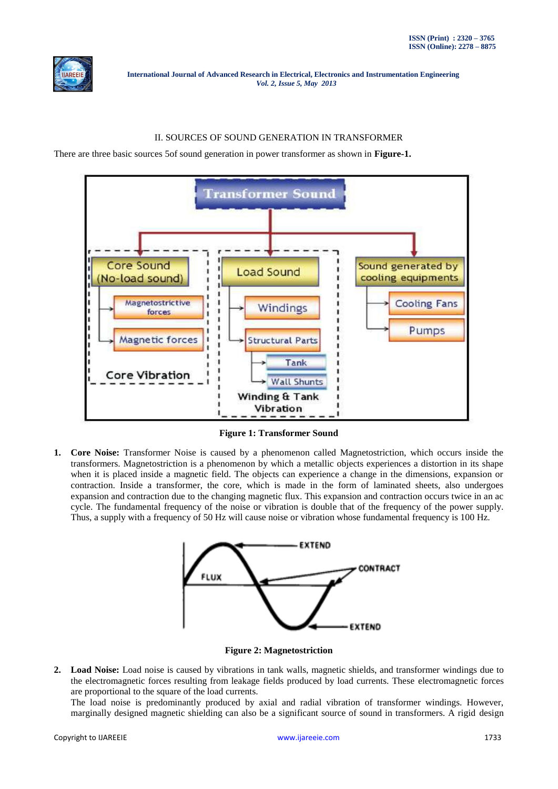

## II. SOURCES OF SOUND GENERATION IN TRANSFORMER

There are three basic sources 5of sound generation in power transformer as shown in **Figure-1.**



**Figure 1: Transformer Sound**

**1. Core Noise:** Transformer Noise is caused by a phenomenon called Magnetostriction, which occurs inside the transformers. Magnetostriction is a phenomenon by which a metallic objects experiences a distortion in its shape when it is placed inside a magnetic field. The objects can experience a change in the dimensions, expansion or contraction. Inside a transformer, the core, which is made in the form of laminated sheets, also undergoes expansion and contraction due to the changing magnetic flux. This expansion and contraction occurs twice in an ac cycle. The fundamental frequency of the noise or vibration is double that of the frequency of the power supply. Thus, a supply with a frequency of 50 Hz will cause noise or vibration whose fundamental frequency is 100 Hz.



**Figure 2: Magnetostriction**

**2. Load Noise:** Load noise is caused by vibrations in tank walls, magnetic shields, and transformer windings due to the electromagnetic forces resulting from leakage fields produced by load currents. These electromagnetic forces are proportional to the square of the load currents.

The load noise is predominantly produced by axial and radial vibration of transformer windings. However, marginally designed magnetic shielding can also be a significant source of sound in transformers. A rigid design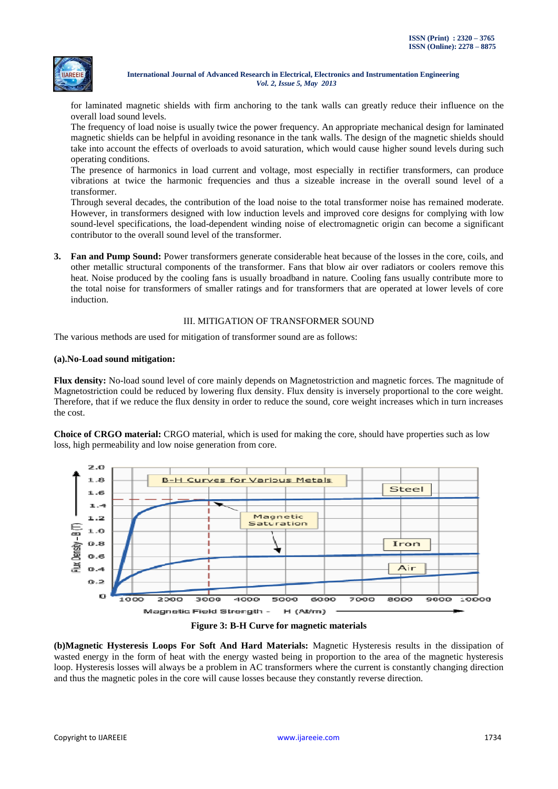

for laminated magnetic shields with firm anchoring to the tank walls can greatly reduce their influence on the overall load sound levels.

The frequency of load noise is usually twice the power frequency. An appropriate mechanical design for laminated magnetic shields can be helpful in avoiding resonance in the tank walls. The design of the magnetic shields should take into account the effects of overloads to avoid saturation, which would cause higher sound levels during such operating conditions.

The presence of harmonics in load current and voltage, most especially in rectifier transformers, can produce vibrations at twice the harmonic frequencies and thus a sizeable increase in the overall sound level of a transformer.

Through several decades, the contribution of the load noise to the total transformer noise has remained moderate. However, in transformers designed with low induction levels and improved core designs for complying with low sound-level specifications, the load-dependent winding noise of electromagnetic origin can become a significant contributor to the overall sound level of the transformer.

**3. Fan and Pump Sound:** Power transformers generate considerable heat because of the losses in the core, coils, and other metallic structural components of the transformer. Fans that blow air over radiators or coolers remove this heat. Noise produced by the cooling fans is usually broadband in nature. Cooling fans usually contribute more to the total noise for transformers of smaller ratings and for transformers that are operated at lower levels of core induction.

### III. MITIGATION OF TRANSFORMER SOUND

The various methods are used for mitigation of transformer sound are as follows:

#### **(a).No-Load sound mitigation:**

**Flux density:** No-load sound level of core mainly depends on Magnetostriction and magnetic forces. The magnitude of Magnetostriction could be reduced by lowering flux density. Flux density is inversely proportional to the core weight. Therefore, that if we reduce the flux density in order to reduce the sound, core weight increases which in turn increases the cost.

**Choice of CRGO material:** CRGO material, which is used for making the core, should have properties such as low loss, high permeability and low noise generation from core.



**Figure 3: B-H Curve for magnetic materials**

**(b)Magnetic Hysteresis Loops For Soft And Hard Materials:** Magnetic Hysteresis results in the dissipation of wasted energy in the form of heat with the energy wasted being in proportion to the area of the magnetic hysteresis loop. Hysteresis losses will always be a problem in AC transformers where the current is constantly changing direction and thus the magnetic poles in the core will cause losses because they constantly reverse direction.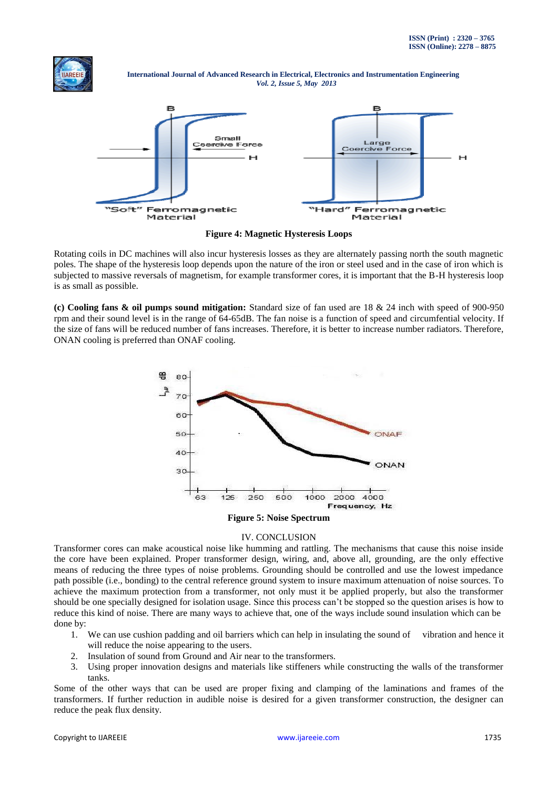



**Figure 4: Magnetic Hysteresis Loops**

Rotating coils in DC machines will also incur hysteresis losses as they are alternately passing north the south magnetic poles. The shape of the hysteresis loop depends upon the nature of the iron or steel used and in the case of iron which is subjected to massive reversals of magnetism, for example transformer cores, it is important that the B-H hysteresis loop is as small as possible.

**(c) Cooling fans & oil pumps sound mitigation:** Standard size of fan used are 18 & 24 inch with speed of 900-950 rpm and their sound level is in the range of 64-65dB. The fan noise is a function of speed and circumfential velocity. If the size of fans will be reduced number of fans increases. Therefore, it is better to increase number radiators. Therefore, ONAN cooling is preferred than ONAF cooling.



#### IV. CONCLUSION

Transformer cores can make acoustical noise like humming and rattling. The mechanisms that cause this noise inside the core have been explained. Proper transformer design, wiring, and, above all, grounding, are the only effective means of reducing the three types of noise problems. Grounding should be controlled and use the lowest impedance path possible (i.e., bonding) to the central reference ground system to insure maximum attenuation of noise sources. To achieve the maximum protection from a transformer, not only must it be applied properly, but also the transformer should be one specially designed for isolation usage. Since this process can"t be stopped so the question arises is how to reduce this kind of noise. There are many ways to achieve that, one of the ways include sound insulation which can be done by:

- 1. We can use cushion padding and oil barriers which can help in insulating the sound of vibration and hence it will reduce the noise appearing to the users.
- 2. Insulation of sound from Ground and Air near to the transformers.
- 3. Using proper innovation designs and materials like stiffeners while constructing the walls of the transformer tanks.

Some of the other ways that can be used are proper fixing and clamping of the laminations and frames of the transformers. If further reduction in audible noise is desired for a given transformer construction, the designer can reduce the peak flux density.